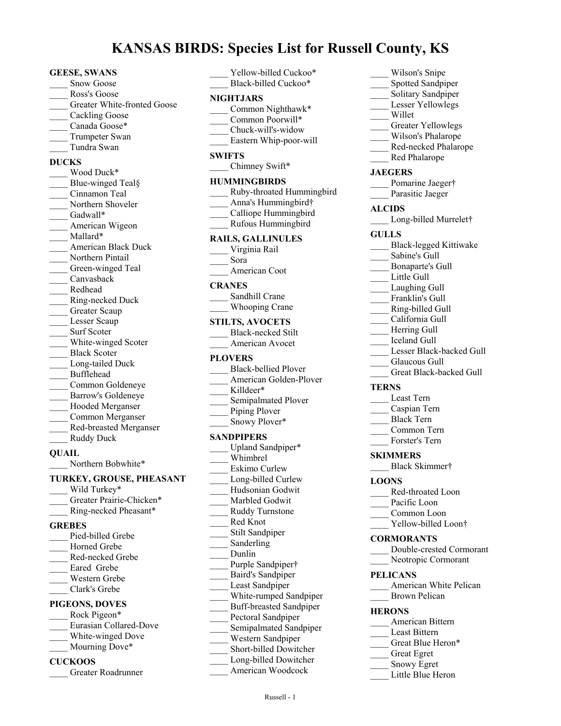# **KANSAS BIRDS: Species List for Russell County, KS**

#### **GEESE, SWANS**

- Snow Goose
- \_\_\_\_ Ross's Goose
- Greater White-fronted Goose
- Cackling Goose
- Canada Goose\*
- Trumpeter Swan
- \_\_\_\_ Tundra Swan

### **DUCKS**

Wood Duck\* Blue-winged Teal§ \_\_\_\_ Cinnamon Teal Northern Shoveler Gadwall\* American Wigeon Mallard\* \_\_\_\_ American Black Duck Northern Pintail Green-winged Teal \_\_\_\_ Canvasback \_\_\_\_ Redhead \_\_\_\_ Ring-necked Duck Greater Scaup Lesser Scaup Surf Scoter White-winged Scoter \_\_\_\_ Black Scoter Long-tailed Duck \_\_\_\_ Bufflehead \_\_\_\_ Common Goldeneye \_\_\_\_ Barrow's Goldeneye \_\_\_\_ Hooded Merganser \_\_\_\_ Common Merganser \_\_\_\_ Red-breasted Merganser \_\_\_\_ Ruddy Duck

#### **QUAIL**

Northern Bobwhite\*

#### **TURKEY, GROUSE, PHEASANT**

Wild Turkey\* Greater Prairie-Chicken\* \_\_\_\_ Ring-necked Pheasant\* **GREBES** Pied-billed Grebe Horned Grebe \_\_\_\_ Red-necked Grebe Eared Grebe \_\_\_\_ Western Grebe \_\_\_\_ Clark's Grebe **PIGEONS, DOVES**

#### Rock Pigeon\* \_\_\_\_ Eurasian Collared-Dove White-winged Dove

- Mourning Dove\*
- 

### **CUCKOOS**

\_\_\_\_ Greater Roadrunner

| <b>NIGHTJARS</b><br>____ Common Nighthawk*<br>Common Poorwill*                                                                                |
|-----------------------------------------------------------------------------------------------------------------------------------------------|
| Chuck-will's-widow<br>Eastern Whip-poor-will                                                                                                  |
| <b>SWIFTS</b><br>____ Chimney Swift*                                                                                                          |
| <b>HUMMINGBIRDS</b><br>Ruby-throated Hummingbird<br>Anna's Hummingbird†<br>Calliope Hummingbird<br>Rufous Hummingbird                         |
| <b>RAILS, GALLINULES</b><br>Virginia Rail<br>Sora<br>American Coot                                                                            |
| <b>CRANES</b><br>Sandhill Crane<br><b>Whooping Crane</b>                                                                                      |
| <b>STILTS, AVOCETS</b><br><b>Black-necked Stilt</b><br>American Avocet                                                                        |
| <b>PLOVERS</b><br><b>Black-bellied Plover</b><br>American Golden-Plover<br>Killdeer*<br>Semipalmated Plover<br>Piping Plover<br>Snowy Plover* |
| <b>SANDPIPERS</b><br>Upland Sandpiper*<br>Whimbrel<br>Eskimo Curlew<br>Long-billed Curlew<br>Hudsonian Godwit<br>Marbled Godwit               |
|                                                                                                                                               |

- \_\_\_\_ Ruddy Turnstone \_\_\_\_ Red Knot Stilt Sandpiper Sanderling \_\_\_\_ Dunlin Purple Sandpiper† \_\_\_\_ Baird's Sandpiper Least Sandpiper \_\_\_\_ White-rumped Sandpiper
- \_\_\_\_ Buff-breasted Sandpiper
- \_\_\_\_ Pectoral Sandpiper
- Semipalmated Sandpiper
- \_\_\_\_ Western Sandpiper
- \_\_\_\_ Short-billed Dowitcher
- Long-billed Dowitcher
	- \_\_\_\_ American Woodcock
- \_\_\_\_ Wilson's Snipe Spotted Sandpiper Solitary Sandpiper Lesser Yellowlegs \_\_\_\_ Willet Greater Yellowlegs \_\_\_\_ Wilson's Phalarope Red-necked Phalarope \_\_\_\_ Red Phalarope **JAEGERS** Pomarine Jaeger† Parasitic Jaeger **ALCIDS** Long-billed Murrelet† **GULLS** \_\_\_\_ Black-legged Kittiwake Sabine's Gull \_\_\_\_ Bonaparte's Gull Little Gull Laughing Gull Franklin's Gull \_\_\_\_ Ring-billed Gull \_\_\_\_ California Gull Herring Gull \_\_\_\_ Iceland Gull Lesser Black-backed Gull Glaucous Gull Great Black-backed Gull **TERNS** \_\_\_\_ Least Tern \_\_\_\_ Caspian Tern \_\_\_\_ Black Tern \_\_\_\_ Common Tern \_\_\_\_ Forster's Tern **SKIMMERS** \_\_\_\_ Black Skimmer† **LOONS** \_\_\_\_ Red-throated Loon Pacific Loon Common Loon Yellow-billed Loon† **CORMORANTS** \_\_\_\_ Double-crested Cormorant Neotropic Cormorant **PELICANS** American White Pelican Brown Pelican **HERONS** \_\_\_\_ American Bittern Least Bittern Great Blue Heron\* \_\_\_\_ Great Egret
- \_\_\_\_ Snowy Egret
- Little Blue Heron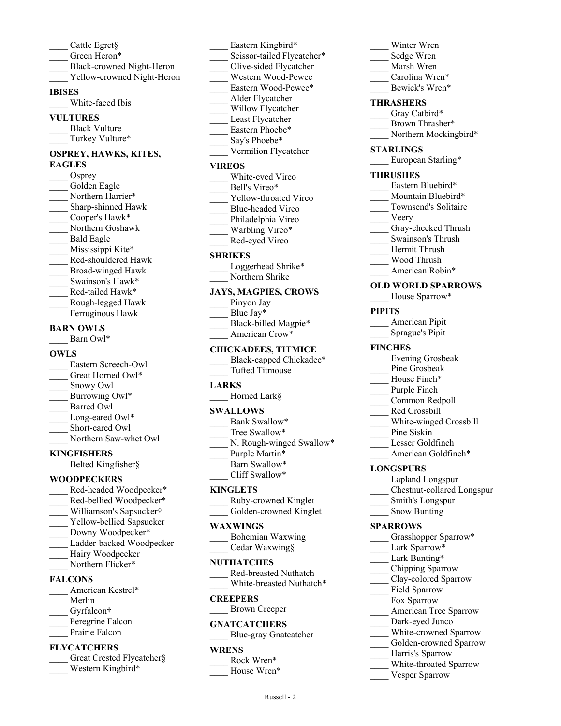- \_\_\_\_ Cattle Egret§
- Green Heron\*
- \_\_\_\_ Black-crowned Night-Heron
- Yellow-crowned Night-Heron

#### **IBISES**

White-faced Ibis

#### **VULTURES**

Black Vulture Turkey Vulture\*

#### **OSPREY, HAWKS, KITES, EAGLES**

Osprey Golden Eagle Northern Harrier\* Sharp-shinned Hawk \_\_\_\_ Cooper's Hawk\* \_\_\_\_ Northern Goshawk \_\_\_\_ Bald Eagle Mississippi Kite\* \_\_\_\_ Red-shouldered Hawk \_\_\_\_ Broad-winged Hawk Swainson's Hawk\* Red-tailed Hawk\* \_\_\_\_ Rough-legged Hawk Ferruginous Hawk **BARN OWLS**

Barn Owl\*

#### **OWLS**

\_\_\_\_ Eastern Screech-Owl Great Horned Owl\* Snowy Owl Burrowing Owl\* Barred Owl Long-eared Owl\* Short-eared Owl Northern Saw-whet Owl

### **KINGFISHERS**

\_\_\_\_ Belted Kingfisher§

### **WOODPECKERS**

- Red-headed Woodpecker\* Red-bellied Woodpecker\*
- \_\_\_\_ Williamson's Sapsucker†
- Yellow-bellied Sapsucker
- Downy Woodpecker\*
- Ladder-backed Woodpecker
- Hairy Woodpecker
- Northern Flicker\*

#### **FALCONS**

- American Kestrel\*
- \_\_\_\_ Merlin
- Gyrfalcon†
- Peregrine Falcon
- Prairie Falcon

### **FLYCATCHERS**

| Great Crested Flycatcher§ |  |  |
|---------------------------|--|--|
| Western Kingbird*         |  |  |

Eastern Kingbird\* Scissor-tailed Flycatcher\* \_\_\_\_ Olive-sided Flycatcher \_\_\_\_ Western Wood-Pewee Eastern Wood-Pewee\* \_\_\_\_ Alder Flycatcher Willow Flycatcher Least Flycatcher Eastern Phoebe\* Say's Phoebe\*

\_\_\_\_ Vermilion Flycatcher

#### **VIREOS**

White-eyed Vireo Bell's Vireo\* Yellow-throated Vireo \_\_\_\_ Blue-headed Vireo Philadelphia Vireo Warbling Vireo\* \_\_\_\_ Red-eyed Vireo

#### **SHRIKES**

Loggerhead Shrike\* Northern Shrike

### **JAYS, MAGPIES, CROWS**

| Pinyon Jay           |
|----------------------|
| Blue Jay*            |
| Black-billed Magpie* |
| American Crow*       |

#### **CHICKADEES, TITMICE**

- Black-capped Chickadee\*
- \_\_\_\_ Tufted Titmouse

### **LARKS**

\_\_\_\_ Horned Lark§

#### **SWALLOWS**

- Bank Swallow\*
- Tree Swallow\*
- \_\_\_\_ N. Rough-winged Swallow\*
- Purple Martin\*
- Barn Swallow\* Cliff Swallow\*
- 

### **KINGLETS**

- \_\_\_\_ Ruby-crowned Kinglet
- Golden-crowned Kinglet

#### **WAXWINGS**

\_\_\_\_ Bohemian Waxwing \_\_\_\_ Cedar Waxwing§

#### **NUTHATCHES**

\_\_\_\_ Red-breasted Nuthatch White-breasted Nuthatch\*

#### **CREEPERS**

\_\_\_\_ Brown Creeper

#### **GNATCATCHERS**

\_\_\_\_ Blue-gray Gnatcatcher

#### **WRENS**

- Rock Wren\*
- House Wren\*

| Sedge Wren                                 |                            |  |  |  |
|--------------------------------------------|----------------------------|--|--|--|
| Marsh Wren                                 |                            |  |  |  |
| Carolina Wren*                             |                            |  |  |  |
| Bewick's Wren*                             |                            |  |  |  |
| <b>THRASHERS</b>                           |                            |  |  |  |
| Gray Catbird*                              |                            |  |  |  |
| Brown Thrasher*                            |                            |  |  |  |
|                                            | Northern Mockingbird*      |  |  |  |
| STARLINGS                                  |                            |  |  |  |
| European Starling*                         |                            |  |  |  |
|                                            |                            |  |  |  |
| <b>THRUSHES</b>                            |                            |  |  |  |
| Eastern Bluebird*<br>Mountain Bluebird*    |                            |  |  |  |
| Townsend's Solitaire                       |                            |  |  |  |
| Veery                                      |                            |  |  |  |
| Gray-cheeked Thrush                        |                            |  |  |  |
| $\overline{\phantom{a}}$ Swainson's Thrush |                            |  |  |  |
| Hermit Thrush                              |                            |  |  |  |
| Wood Thrush                                |                            |  |  |  |
| American Robin*                            |                            |  |  |  |
| <b>OLD WORLD SPARROWS</b>                  |                            |  |  |  |
| House Sparrow*                             |                            |  |  |  |
|                                            |                            |  |  |  |
| <b>PIPITS</b>                              |                            |  |  |  |
| American Pipit                             |                            |  |  |  |
| Sprague's Pipit                            |                            |  |  |  |
| <b>FINCHES</b>                             |                            |  |  |  |
| <b>Evening Grosbeak</b>                    |                            |  |  |  |
| Pine Grosbeak                              |                            |  |  |  |
| House Finch*                               |                            |  |  |  |
| Purple Finch                               |                            |  |  |  |
| Common Redpoll                             |                            |  |  |  |
| Red Crossbill                              |                            |  |  |  |
|                                            | White-winged Crossbill     |  |  |  |
| Pine Siskin                                |                            |  |  |  |
| Lesser Goldfinch<br>American Goldfinch*    |                            |  |  |  |
|                                            |                            |  |  |  |
| <b>LONGSPURS</b>                           |                            |  |  |  |
| Lapland Longspur                           |                            |  |  |  |
|                                            | Chestnut-collared Longspur |  |  |  |
| Smith's Longspur                           |                            |  |  |  |
| <b>Snow Bunting</b>                        |                            |  |  |  |
| <b>SPARROWS</b>                            |                            |  |  |  |
|                                            | Grasshopper Sparrow*       |  |  |  |
| Lark Sparrow*                              |                            |  |  |  |
| Lark Bunting*                              |                            |  |  |  |
| Chipping Sparrow                           |                            |  |  |  |
| Clay-colored Sparrow                       |                            |  |  |  |
| Field Sparrow                              |                            |  |  |  |
| Fox Sparrow                                |                            |  |  |  |
|                                            | American Tree Sparrow      |  |  |  |

Winter Wren

- Dark-eyed Junco
- White-crowned Sparrow Golden-crowned Sparrow
	- \_\_\_\_ Harris's Sparrow
	- White-throated Sparrow
- Vesper Sparrow
- Russell 2